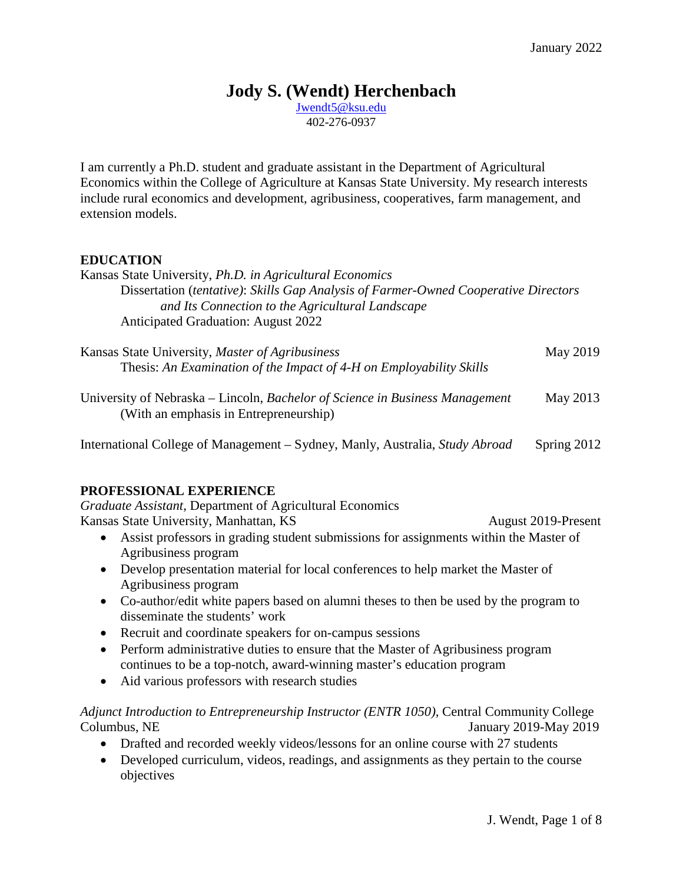## **Jody S. (Wendt) Herchenbach**

[Jwendt5@ksu.edu](mailto:Jwendt5@ksu.edu) 402-276-0937

I am currently a Ph.D. student and graduate assistant in the Department of Agricultural Economics within the College of Agriculture at Kansas State University. My research interests include rural economics and development, agribusiness, cooperatives, farm management, and extension models.

#### **EDUCATION**

| Kansas State University, Ph.D. in Agricultural Economics<br>Dissertation (tentative): Skills Gap Analysis of Farmer-Owned Cooperative Directors<br>and Its Connection to the Agricultural Landscape<br><b>Anticipated Graduation: August 2022</b>                                                                                                                                                                                                                                                                                                                                                                                                                                                                                                                                                                                                                                                                                                                                   |
|-------------------------------------------------------------------------------------------------------------------------------------------------------------------------------------------------------------------------------------------------------------------------------------------------------------------------------------------------------------------------------------------------------------------------------------------------------------------------------------------------------------------------------------------------------------------------------------------------------------------------------------------------------------------------------------------------------------------------------------------------------------------------------------------------------------------------------------------------------------------------------------------------------------------------------------------------------------------------------------|
| Kansas State University, Master of Agribusiness<br>May 2019<br>Thesis: An Examination of the Impact of 4-H on Employability Skills                                                                                                                                                                                                                                                                                                                                                                                                                                                                                                                                                                                                                                                                                                                                                                                                                                                  |
| University of Nebraska – Lincoln, Bachelor of Science in Business Management<br>May 2013<br>(With an emphasis in Entrepreneurship)                                                                                                                                                                                                                                                                                                                                                                                                                                                                                                                                                                                                                                                                                                                                                                                                                                                  |
| International College of Management – Sydney, Manly, Australia, Study Abroad<br>Spring 2012                                                                                                                                                                                                                                                                                                                                                                                                                                                                                                                                                                                                                                                                                                                                                                                                                                                                                         |
| PROFESSIONAL EXPERIENCE<br>Graduate Assistant, Department of Agricultural Economics<br>Kansas State University, Manhattan, KS<br>August 2019-Present<br>Assist professors in grading student submissions for assignments within the Master of<br>$\bullet$<br>Agribusiness program<br>Develop presentation material for local conferences to help market the Master of<br>$\bullet$<br>Agribusiness program<br>Co-author/edit white papers based on alumni theses to then be used by the program to<br>$\bullet$<br>disseminate the students' work<br>Recruit and coordinate speakers for on-campus sessions<br>$\bullet$<br>Perform administrative duties to ensure that the Master of Agribusiness program<br>$\bullet$<br>continues to be a top-notch, award-winning master's education program<br>Aid various professors with research studies<br>A Provided Line of the company of $\mathcal{L}$ is the contract of $\mathcal{L}$ (EMTED 1050). Contact Communities Collection |

*Adjunct Introduction to Entrepreneurship Instructor (ENTR 1050),* Central Community College Columbus, NE January 2019-May 2019

- Drafted and recorded weekly videos/lessons for an online course with 27 students
- Developed curriculum, videos, readings, and assignments as they pertain to the course objectives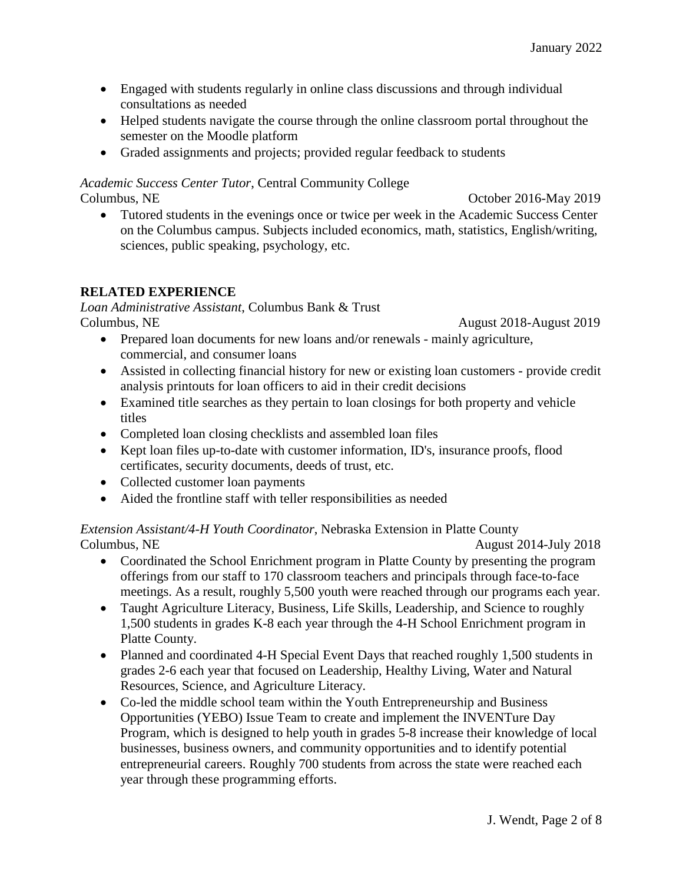- Engaged with students regularly in online class discussions and through individual consultations as needed
- Helped students navigate the course through the online classroom portal throughout the semester on the Moodle platform
- Graded assignments and projects; provided regular feedback to students

# *Academic Success Center Tutor*, Central Community College

Columbus, NE Columbus, NE

• Tutored students in the evenings once or twice per week in the Academic Success Center on the Columbus campus. Subjects included economics, math, statistics, English/writing, sciences, public speaking, psychology, etc.

## **RELATED EXPERIENCE**

*Loan Administrative Assistant*, Columbus Bank & Trust Columbus, NE August 2018-August 2019

- Prepared loan documents for new loans and/or renewals mainly agriculture, commercial, and consumer loans
- Assisted in collecting financial history for new or existing loan customers provide credit analysis printouts for loan officers to aid in their credit decisions
- Examined title searches as they pertain to loan closings for both property and vehicle titles
- Completed loan closing checklists and assembled loan files
- Kept loan files up-to-date with customer information, ID's, insurance proofs, flood certificates, security documents, deeds of trust, etc.
- Collected customer loan payments
- Aided the frontline staff with teller responsibilities as needed

#### *Extension Assistant/4-H Youth Coordinator*, Nebraska Extension in Platte County Columbus, NE August 2014-July 2018

- Coordinated the School Enrichment program in Platte County by presenting the program offerings from our staff to 170 classroom teachers and principals through face-to-face meetings. As a result, roughly 5,500 youth were reached through our programs each year.
- Taught Agriculture Literacy, Business, Life Skills, Leadership, and Science to roughly 1,500 students in grades K-8 each year through the 4-H School Enrichment program in Platte County.
- Planned and coordinated 4-H Special Event Days that reached roughly 1,500 students in grades 2-6 each year that focused on Leadership, Healthy Living, Water and Natural Resources, Science, and Agriculture Literacy.
- Co-led the middle school team within the Youth Entrepreneurship and Business Opportunities (YEBO) Issue Team to create and implement the INVENTure Day Program, which is designed to help youth in grades 5-8 increase their knowledge of local businesses, business owners, and community opportunities and to identify potential entrepreneurial careers. Roughly 700 students from across the state were reached each year through these programming efforts.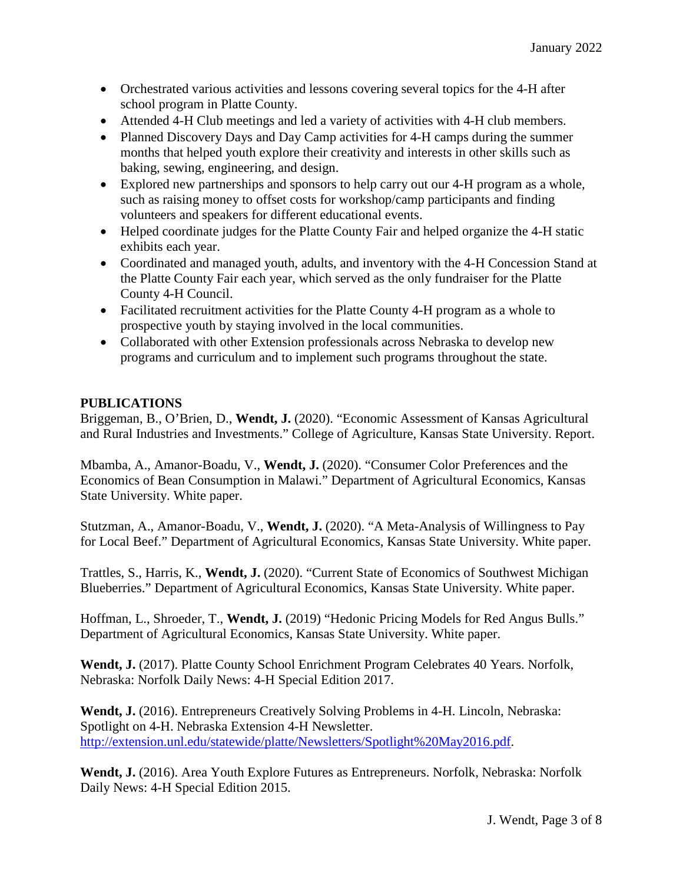- Orchestrated various activities and lessons covering several topics for the 4-H after school program in Platte County.
- Attended 4-H Club meetings and led a variety of activities with 4-H club members.
- Planned Discovery Days and Day Camp activities for 4-H camps during the summer months that helped youth explore their creativity and interests in other skills such as baking, sewing, engineering, and design.
- Explored new partnerships and sponsors to help carry out our 4-H program as a whole, such as raising money to offset costs for workshop/camp participants and finding volunteers and speakers for different educational events.
- Helped coordinate judges for the Platte County Fair and helped organize the 4-H static exhibits each year.
- Coordinated and managed youth, adults, and inventory with the 4-H Concession Stand at the Platte County Fair each year, which served as the only fundraiser for the Platte County 4-H Council.
- Facilitated recruitment activities for the Platte County 4-H program as a whole to prospective youth by staying involved in the local communities.
- Collaborated with other Extension professionals across Nebraska to develop new programs and curriculum and to implement such programs throughout the state.

## **PUBLICATIONS**

Briggeman, B., O'Brien, D., **Wendt, J.** (2020). "Economic Assessment of Kansas Agricultural and Rural Industries and Investments." College of Agriculture, Kansas State University. Report.

Mbamba, A., Amanor-Boadu, V., **Wendt, J.** (2020). "Consumer Color Preferences and the Economics of Bean Consumption in Malawi." Department of Agricultural Economics, Kansas State University. White paper.

Stutzman, A., Amanor-Boadu, V., **Wendt, J.** (2020). "A Meta-Analysis of Willingness to Pay for Local Beef." Department of Agricultural Economics, Kansas State University. White paper.

Trattles, S., Harris, K., **Wendt, J.** (2020). "Current State of Economics of Southwest Michigan Blueberries." Department of Agricultural Economics, Kansas State University. White paper.

Hoffman, L., Shroeder, T., **Wendt, J.** (2019) "Hedonic Pricing Models for Red Angus Bulls." Department of Agricultural Economics, Kansas State University. White paper.

**Wendt, J.** (2017). Platte County School Enrichment Program Celebrates 40 Years. Norfolk, Nebraska: Norfolk Daily News: 4-H Special Edition 2017.

**Wendt, J.** (2016). Entrepreneurs Creatively Solving Problems in 4-H. Lincoln, Nebraska: Spotlight on 4-H. Nebraska Extension 4-H Newsletter. [http://extension.unl.edu/statewide/platte/Newsletters/Spotlight%20May2016.pdf.](http://extension.unl.edu/statewide/platte/Newsletters/Spotlight%20May2016.pdf)

**Wendt, J.** (2016). Area Youth Explore Futures as Entrepreneurs. Norfolk, Nebraska: Norfolk Daily News: 4-H Special Edition 2015.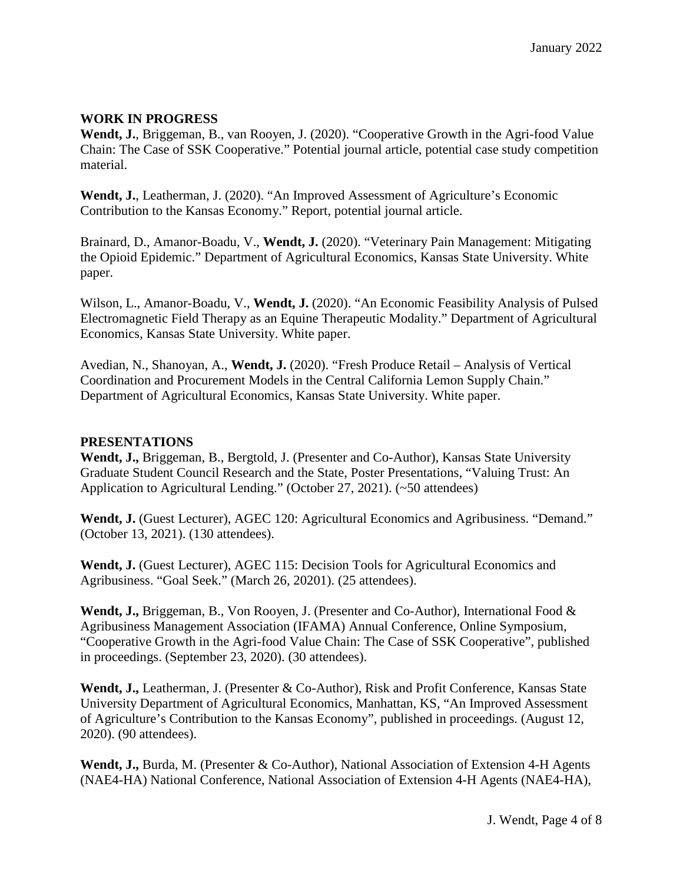#### **WORK IN PROGRESS**

**Wendt, J.**, Briggeman, B., van Rooyen, J. (2020). "Cooperative Growth in the Agri-food Value Chain: The Case of SSK Cooperative." Potential journal article, potential case study competition material.

**Wendt, J.**, Leatherman, J. (2020). "An Improved Assessment of Agriculture's Economic Contribution to the Kansas Economy." Report, potential journal article.

Brainard, D., Amanor-Boadu, V., **Wendt, J.** (2020). "Veterinary Pain Management: Mitigating the Opioid Epidemic." Department of Agricultural Economics, Kansas State University. White paper.

Wilson, L., Amanor-Boadu, V., **Wendt, J.** (2020). "An Economic Feasibility Analysis of Pulsed Electromagnetic Field Therapy as an Equine Therapeutic Modality." Department of Agricultural Economics, Kansas State University. White paper.

Avedian, N., Shanoyan, A., **Wendt, J.** (2020). "Fresh Produce Retail – Analysis of Vertical Coordination and Procurement Models in the Central California Lemon Supply Chain." Department of Agricultural Economics, Kansas State University. White paper.

#### **PRESENTATIONS**

**Wendt, J.,** Briggeman, B., Bergtold, J. (Presenter and Co-Author), Kansas State University Graduate Student Council Research and the State, Poster Presentations, "Valuing Trust: An Application to Agricultural Lending." (October 27, 2021). (~50 attendees)

Wendt, J. (Guest Lecturer), AGEC 120: Agricultural Economics and Agribusiness. "Demand." (October 13, 2021). (130 attendees).

**Wendt, J.** (Guest Lecturer), AGEC 115: Decision Tools for Agricultural Economics and Agribusiness. "Goal Seek." (March 26, 20201). (25 attendees).

**Wendt, J.,** Briggeman, B., Von Rooyen, J. (Presenter and Co-Author), International Food & Agribusiness Management Association (IFAMA) Annual Conference, Online Symposium, "Cooperative Growth in the Agri-food Value Chain: The Case of SSK Cooperative", published in proceedings. (September 23, 2020). (30 attendees).

**Wendt, J.,** Leatherman, J. (Presenter & Co-Author), Risk and Profit Conference, Kansas State University Department of Agricultural Economics, Manhattan, KS, "An Improved Assessment of Agriculture's Contribution to the Kansas Economy", published in proceedings. (August 12, 2020). (90 attendees).

**Wendt, J.,** Burda, M. (Presenter & Co-Author), National Association of Extension 4-H Agents (NAE4-HA) National Conference, National Association of Extension 4-H Agents (NAE4-HA),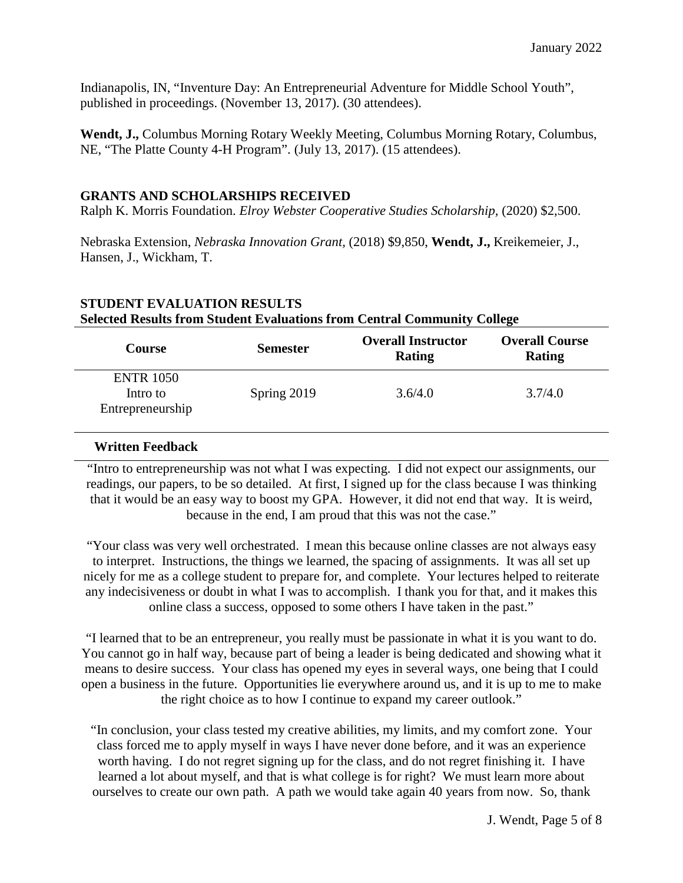Indianapolis, IN, "Inventure Day: An Entrepreneurial Adventure for Middle School Youth", published in proceedings. (November 13, 2017). (30 attendees).

**Wendt, J.,** Columbus Morning Rotary Weekly Meeting, Columbus Morning Rotary, Columbus, NE, "The Platte County 4-H Program". (July 13, 2017). (15 attendees).

#### **GRANTS AND SCHOLARSHIPS RECEIVED**

Ralph K. Morris Foundation. *Elroy Webster Cooperative Studies Scholarship,* (2020) \$2,500.

Nebraska Extension, *Nebraska Innovation Grant,* (2018) \$9,850, **Wendt, J.,** Kreikemeier, J., Hansen, J., Wickham, T.

| <b>Course</b>                                    | <b>Semester</b> | <b>Overall Instructor</b><br>Rating | <b>Overall Course</b><br><b>Rating</b> |
|--------------------------------------------------|-----------------|-------------------------------------|----------------------------------------|
| <b>ENTR 1050</b><br>Intro to<br>Entrepreneurship | Spring 2019     | 3.6/4.0                             | 3.7/4.0                                |

## **STUDENT EVALUATION RESULTS Selected Results from Student Evaluations from Central Community College**

## **Written Feedback**

"Intro to entrepreneurship was not what I was expecting. I did not expect our assignments, our readings, our papers, to be so detailed. At first, I signed up for the class because I was thinking that it would be an easy way to boost my GPA. However, it did not end that way. It is weird, because in the end, I am proud that this was not the case."

"Your class was very well orchestrated. I mean this because online classes are not always easy to interpret. Instructions, the things we learned, the spacing of assignments. It was all set up nicely for me as a college student to prepare for, and complete. Your lectures helped to reiterate any indecisiveness or doubt in what I was to accomplish. I thank you for that, and it makes this online class a success, opposed to some others I have taken in the past."

"I learned that to be an entrepreneur, you really must be passionate in what it is you want to do. You cannot go in half way, because part of being a leader is being dedicated and showing what it means to desire success. Your class has opened my eyes in several ways, one being that I could open a business in the future. Opportunities lie everywhere around us, and it is up to me to make the right choice as to how I continue to expand my career outlook."

"In conclusion, your class tested my creative abilities, my limits, and my comfort zone. Your class forced me to apply myself in ways I have never done before, and it was an experience worth having. I do not regret signing up for the class, and do not regret finishing it. I have learned a lot about myself, and that is what college is for right? We must learn more about ourselves to create our own path. A path we would take again 40 years from now. So, thank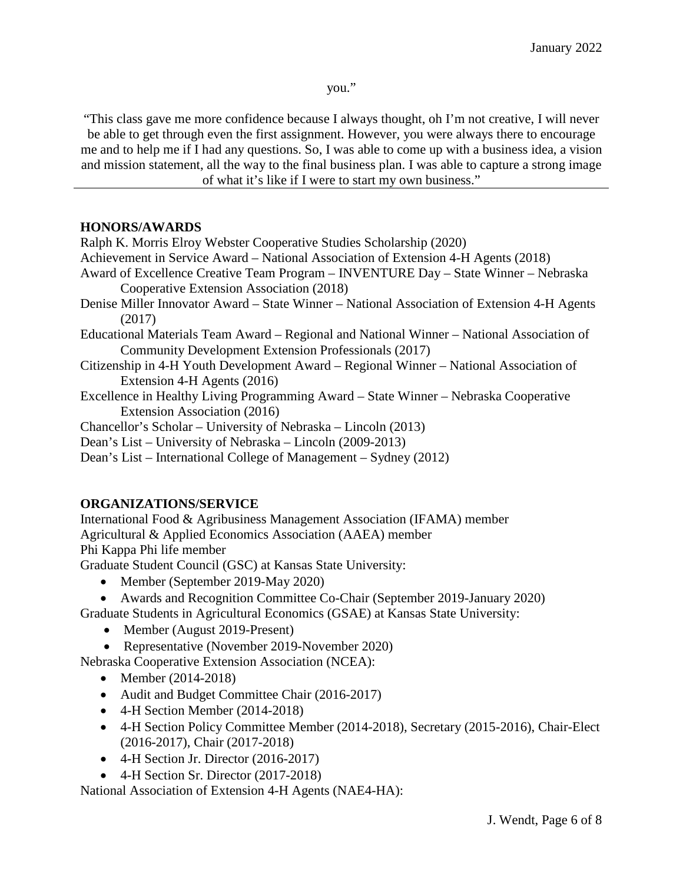you."

"This class gave me more confidence because I always thought, oh I'm not creative, I will never be able to get through even the first assignment. However, you were always there to encourage me and to help me if I had any questions. So, I was able to come up with a business idea, a vision and mission statement, all the way to the final business plan. I was able to capture a strong image of what it's like if I were to start my own business."

#### **HONORS/AWARDS**

Ralph K. Morris Elroy Webster Cooperative Studies Scholarship (2020)

Achievement in Service Award – National Association of Extension 4-H Agents (2018)

- Award of Excellence Creative Team Program INVENTURE Day State Winner Nebraska Cooperative Extension Association (2018)
- Denise Miller Innovator Award State Winner National Association of Extension 4-H Agents (2017)
- Educational Materials Team Award Regional and National Winner National Association of Community Development Extension Professionals (2017)
- Citizenship in 4-H Youth Development Award Regional Winner National Association of Extension 4-H Agents (2016)
- Excellence in Healthy Living Programming Award State Winner Nebraska Cooperative Extension Association (2016)
- Chancellor's Scholar University of Nebraska Lincoln (2013)
- Dean's List University of Nebraska Lincoln (2009-2013)
- Dean's List International College of Management Sydney (2012)

## **ORGANIZATIONS/SERVICE**

International Food & Agribusiness Management Association (IFAMA) member Agricultural & Applied Economics Association (AAEA) member Phi Kappa Phi life member

Graduate Student Council (GSC) at Kansas State University:

- Member (September 2019-May 2020)
- Awards and Recognition Committee Co-Chair (September 2019-January 2020)

Graduate Students in Agricultural Economics (GSAE) at Kansas State University:

- Member (August 2019-Present)
- Representative (November 2019-November 2020)

Nebraska Cooperative Extension Association (NCEA):

- Member (2014-2018)
- Audit and Budget Committee Chair (2016-2017)
- 4-H Section Member (2014-2018)
- 4-H Section Policy Committee Member (2014-2018), Secretary (2015-2016), Chair-Elect (2016-2017), Chair (2017-2018)
- 4-H Section Jr. Director (2016-2017)
- 4-H Section Sr. Director (2017-2018)

National Association of Extension 4-H Agents (NAE4-HA):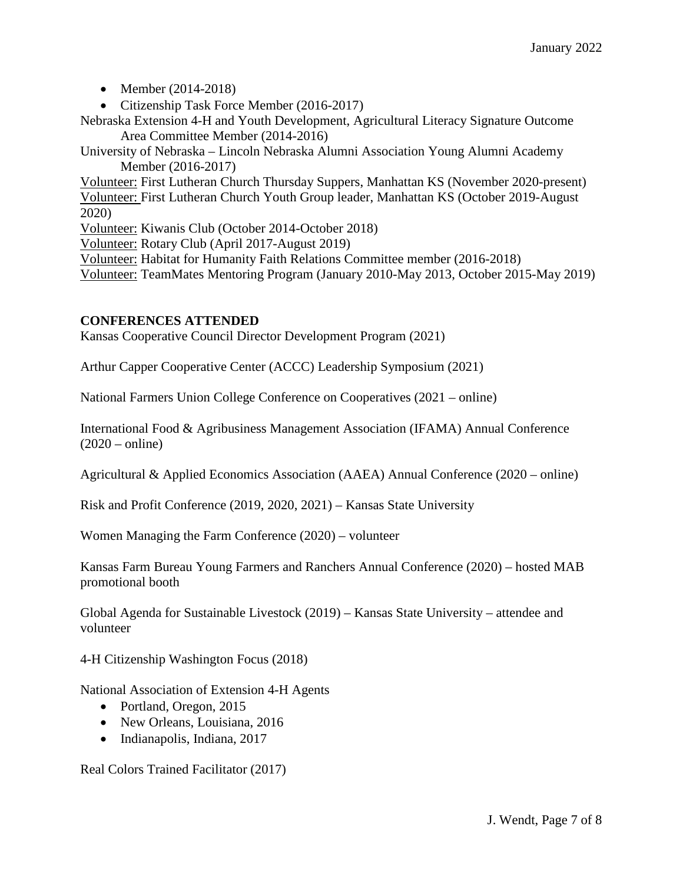- Member (2014-2018)
- Citizenship Task Force Member (2016-2017)

Nebraska Extension 4-H and Youth Development, Agricultural Literacy Signature Outcome Area Committee Member (2014-2016)

University of Nebraska – Lincoln Nebraska Alumni Association Young Alumni Academy Member (2016-2017)

Volunteer: First Lutheran Church Thursday Suppers, Manhattan KS (November 2020-present) Volunteer: First Lutheran Church Youth Group leader, Manhattan KS (October 2019-August 2020)

Volunteer: Kiwanis Club (October 2014-October 2018)

Volunteer: Rotary Club (April 2017-August 2019)

Volunteer: Habitat for Humanity Faith Relations Committee member (2016-2018)

Volunteer: TeamMates Mentoring Program (January 2010-May 2013, October 2015-May 2019)

#### **CONFERENCES ATTENDED**

Kansas Cooperative Council Director Development Program (2021)

Arthur Capper Cooperative Center (ACCC) Leadership Symposium (2021)

National Farmers Union College Conference on Cooperatives (2021 – online)

International Food & Agribusiness Management Association (IFAMA) Annual Conference  $(2020 - \text{online})$ 

Agricultural & Applied Economics Association (AAEA) Annual Conference (2020 – online)

Risk and Profit Conference (2019, 2020, 2021) – Kansas State University

Women Managing the Farm Conference (2020) – volunteer

Kansas Farm Bureau Young Farmers and Ranchers Annual Conference (2020) – hosted MAB promotional booth

Global Agenda for Sustainable Livestock (2019) – Kansas State University – attendee and volunteer

4-H Citizenship Washington Focus (2018)

National Association of Extension 4-H Agents

- Portland, Oregon, 2015
- New Orleans, Louisiana, 2016
- Indianapolis, Indiana, 2017

Real Colors Trained Facilitator (2017)